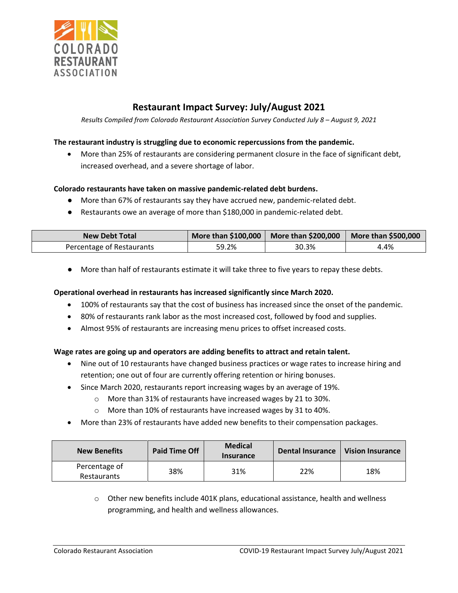

# **Restaurant Impact Survey: July/August 2021**

*Results Compiled from Colorado Restaurant Association Survey Conducted July 8 – August 9, 2021*

## **The restaurant industry is struggling due to economic repercussions from the pandemic.**

• More than 25% of restaurants are considering permanent closure in the face of significant debt, increased overhead, and a severe shortage of labor.

#### **Colorado restaurants have taken on massive pandemic-related debt burdens.**

- More than 67% of restaurants say they have accrued new, pandemic-related debt.
- Restaurants owe an average of more than \$180,000 in pandemic-related debt.

| <b>New Debt Total</b>     | More than \$100,000 | $\mid$ More than \$200,000 $\mid$ More than \$500,000 |      |
|---------------------------|---------------------|-------------------------------------------------------|------|
| Percentage of Restaurants | 59.2%               | 30.3%                                                 | 4.4% |

● More than half of restaurants estimate it will take three to five years to repay these debts.

#### **Operational overhead in restaurants has increased significantly since March 2020.**

- 100% of restaurants say that the cost of business has increased since the onset of the pandemic.
- 80% of restaurants rank labor as the most increased cost, followed by food and supplies.
- Almost 95% of restaurants are increasing menu prices to offset increased costs.

### **Wage rates are going up and operators are adding benefits to attract and retain talent.**

- Nine out of 10 restaurants have changed business practices or wage rates to increase hiring and retention; one out of four are currently offering retention or hiring bonuses.
- Since March 2020, restaurants report increasing wages by an average of 19%.
	- o More than 31% of restaurants have increased wages by 21 to 30%.
	- o More than 10% of restaurants have increased wages by 31 to 40%.
- More than 23% of restaurants have added new benefits to their compensation packages.

| <b>New Benefits</b>          | <b>Paid Time Off</b> | <b>Medical</b><br><b>Insurance</b> | <b>Dental Insurance</b> | <b>Vision Insurance</b> |
|------------------------------|----------------------|------------------------------------|-------------------------|-------------------------|
| Percentage of<br>Restaurants | 38%                  | 31%                                | 22%                     | 18%                     |

 $\circ$  Other new benefits include 401K plans, educational assistance, health and wellness programming, and health and wellness allowances.